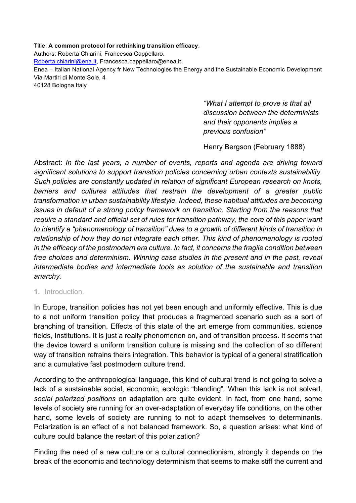Title: **A common protocol for rethinking transition efficacy**. Authors: Roberta Chiarini, Francesca Cappellaro. Roberta.chiarini@ena.it, Francesca.cappellaro@enea.it Enea – Italian National Agency fr New Technologies the Energy and the Sustainable Economic Development Via Martiri di Monte Sole, 4 40128 Bologna Italy

> *"What I attempt to prove is that all discussion between the determinists and their opponents implies a previous confusion"*

Henry Bergson (February 1888)

Abstract: *In the last years, a number of events, reports and agenda are driving toward significant solutions to support transition policies concerning urban contexts sustainability. Such policies are constantly updated in relation of significant European research on knots, barriers and cultures attitudes that restrain the development of a greater public transformation in urban sustainability lifestyle. Indeed, these habitual attitudes are becoming issues in default of a strong policy framework on transition. Starting from the reasons that require a standard and official set of rules for transition pathway, the core of this paper want to identify a "phenomenology of transition" dues to a growth of different kinds of transition in relationship of how they do not integrate each other. This kind of phenomenology is rooted in the efficacy of the postmodern era culture. In fact, it concerns the fragile condition between free choices and determinism*. *Winning case studies in the present and in the past, reveal intermediate bodies and intermediate tools as solution of the sustainable and transition anarchy.*

### **1.** Introduction.

In Europe, transition policies has not yet been enough and uniformly effective. This is due to a not uniform transition policy that produces a fragmented scenario such as a sort of branching of transition. Effects of this state of the art emerge from communities, science fields, Institutions. It is just a really phenomenon on, and of transition process. It seems that the device toward a uniform transition culture is missing and the collection of so different way of transition refrains theirs integration. This behavior is typical of a general stratification and a cumulative fast postmodern culture trend.

According to the anthropological language, this kind of cultural trend is not going to solve a lack of a sustainable social, economic, ecologic "blending". When this lack is not solved, *social polarized positions* on adaptation are quite evident. In fact, from one hand, some levels of society are running for an over-adaptation of everyday life conditions, on the other hand, some levels of society are running to not to adapt themselves to determinants. Polarization is an effect of a not balanced framework. So, a question arises: what kind of culture could balance the restart of this polarization?

Finding the need of a new culture or a cultural connectionism, strongly it depends on the break of the economic and technology determinism that seems to make stiff the current and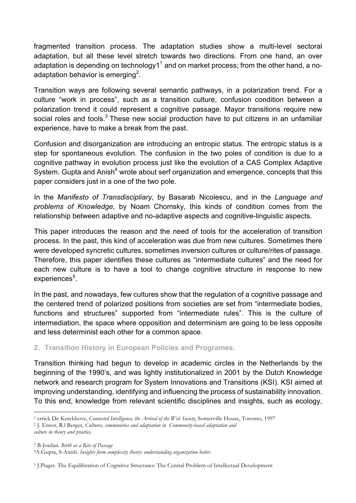fragmented transition process. The adaptation studies show a multi-level sectoral adaptation, but all these level stretch towards two directions. From one hand, an over adaptation is depending on technology1 $1^1$  and on market process; from the other hand, a noadaptation behavior is emerging<sup>2</sup>.

Transition ways are following several semantic pathways, in a polarization trend. For a culture "work in process", such as a transition culture, confusion condition between a polarization trend it could represent a cognitive passage. Mayor transitions require new social roles and tools.<sup>3</sup> These new social production have to put citizens in an unfamiliar experience, have to make a break from the past.

Confusion and disorganization are introducing an entropic status. The entropic status is a step for spontaneous evolution. The confusion in the two poles of condition is due to a cognitive pathway in evolution process just like the evolution of a CAS Complex Adaptive System. Gupta and Anish<sup>4</sup> wrote about serf organization and emergence, concepts that this paper considers just in a one of the two pole.

In the *Manifesto of Transdiscipliary*, by Basarab Nicolescu, and in the *Language and problems of Knowledge*, by Noam Chomsky, this kinds of condition comes from the relationship between adaptive and no-adaptive aspects and cognitive-linguistic aspects.

This paper introduces the reason and the need of tools for the acceleration of transition process. In the past, this kind of acceleration was due from new cultures. Sometimes there were developed syncretic cultures, sometimes inversion cultures or culture/rites of passage. Therefore, this paper identifies these cultures as "intermediate cultures" and the need for each new culture is to have a tool to change cognitive structure in response to new experiences<sup>5</sup>.

In the past, and nowadays, few cultures show that the regulation of a cognitive passage and the centered trend of polarized positions from societies are set from "intermediate bodies, functions and structures" supported from "intermediate rules". This is the culture of intermediation, the space where opposition and determinism are going to be less opposite and less determinist each other for a common space.

# **2. Transition History in European Policies and Programes.**

Transition thinking had begun to develop in academic circles in the Netherlands by the beginning of the 1990's, and was lightly institutionalized in 2001 by the Dutch Knowledge network and research program for System Innovations and Transitions (KSI). KSI aimed at improving understanding, identifying and influencing the process of sustainability innovation. To this end, knowledge from relevant scientific disciplines and insights, such as ecology,

 <sup>1</sup> errick De Kerckhove, *Connected Intelligence, the Arrival of the Web Society*, Somerville House, Toronto, 1997

<sup>2</sup> J. Ensor, R.l Berger, *Cultures, communities and adaptation in Community-based adaptation and*

*culture in theory and practice*.

<sup>3</sup> B-Jordan. *Birth as a Rite of Passage*

<sup>4</sup>A.Gupta, S-Anish. *Insights form complexity theory: understanding organization better.*

<sup>5</sup> J.Piaget. The Equilibration of Cognitive Structures: The Central Problem of Intellectual Development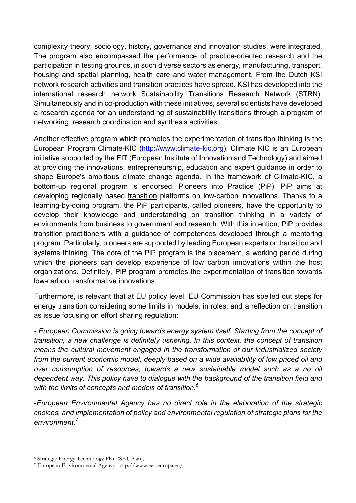complexity theory, sociology, history, governance and innovation studies, were integrated. The program also encompassed the performance of practice-oriented research and the participation in testing grounds, in such diverse sectors as energy, manufacturing, transport, housing and spatial planning, health care and water management. From the Dutch KSI network research activities and transition practices have spread. KSI has developed into the international research network Sustainability Transitions Research Network (STRN). Simultaneously and in co-production with these initiatives, several scientists have developed a research agenda for an understanding of sustainability transitions through a program of networking, research coordination and synthesis activities.

Another effective program which promotes the experimentation of transition thinking is the European Program Climate-KIC (http://www.climate-kic.org). Climate KIC is an European initiative supported by the EIT (European Institute of Innovation and Technology) and aimed at providing the innovations, entrepreneurship, education and expert guidance in order to shape Europe's ambitious climate change agenda. In the framework of Climate-KIC, a bottom-up regional program is endorsed: Pioneers into Practice (PiP). PiP aims at developing regionally based transition platforms on low-carbon innovations. Thanks to a learning-by-doing program, the PiP participants, called pioneers, have the opportunity to develop their knowledge and understanding on transition thinking in a variety of environments from business to government and research. With this intention, PiP provides transition practitioners with a guidance of competences developed through a mentoring program. Particularly, pioneers are supported by leading European experts on transition and systems thinking. The core of the PiP program is the placement, a working period during which the pioneers can develop experience of low carbon innovations within the host organizations. Definitely, PiP program promotes the experimentation of transition towards low-carbon transformative innovations.

Furthermore, is relevant that at EU policy level, EU Commission has spelled out steps for energy transition considering some limits in models, in roles, and a reflection on transition as issue focusing on effort sharing regulation:

*- European Commission is going towards energy system itself. Starting from the concept of transition, a new challenge is definitely ushering. In this context, the concept of transition means the cultural movement engaged in the transformation of our industrialized society from the current economic model, deeply based on a wide availability of low priced oil and over consumption of resources, towards a new sustainable model such as a no oil dependent way. This policy have to dialogue with the background of the transition field and with the limits of concepts and models of transition. 6*

-*European Environmental Agency has no direct role in the elaboration of the strategic choices, and implementation of policy and environmental regulation of strategic plans for the environment.7*

 <sup>6</sup> Strategic Energy Technology Plan (SET Plan),

<sup>7</sup> European Environmental Agency http://www.eea.europa.eu/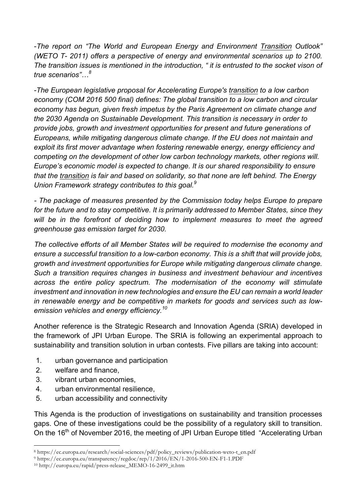-*The report on "The World and European Energy and Environment Transition Outlook" (WETO T- 2011) offers a perspective of energy and environmental scenarios up to 2100. The transition issues is mentioned in the introduction, " it is entrusted to the socket vison of true scenarios"…<sup>8</sup>*

*-The European legislative proposal for Accelerating Europe's transition to a low carbon economy (COM 2016 500 final) defines: The global transition to a low carbon and circular economy has begun, given fresh impetus by the Paris Agreement on climate change and the 2030 Agenda on Sustainable Development. This transition is necessary in order to provide jobs, growth and investment opportunities for present and future generations of Europeans, while mitigating dangerous climate change. If the EU does not maintain and exploit its first mover advantage when fostering renewable energy, energy efficiency and competing on the development of other low carbon technology markets, other regions will. Europe's economic model is expected to change. It is our shared responsibility to ensure that the transition is fair and based on solidarity, so that none are left behind. The Energy Union Framework strategy contributes to this goal.9*

*- The package of measures presented by the Commission today helps Europe to prepare for the future and to stay competitive. It is primarily addressed to Member States, since they will be in the forefront of deciding how to implement measures to meet the agreed greenhouse gas emission target for 2030.*

*The collective efforts of all Member States will be required to modernise the economy and ensure a successful transition to a low-carbon economy. This is a shift that will provide jobs, growth and investment opportunities for Europe while mitigating dangerous climate change. Such a transition requires changes in business and investment behaviour and incentives across the entire policy spectrum. The modernisation of the economy will stimulate investment and innovation in new technologies and ensure the EU can remain a world leader in renewable energy and be competitive in markets for goods and services such as lowemission vehicles and energy efficiency.10*

Another reference is the Strategic Research and Innovation Agenda (SRIA) developed in the framework of JPI Urban Europe. The SRIA is following an experimental approach to sustainability and transition solution in urban contests. Five pillars are taking into account:

- 1. urban governance and participation
- 2. welfare and finance,
- 3. vibrant urban economies,
- 4. urban environmental resilience,
- 5. urban accessibility and connectivity

This Agenda is the production of investigations on sustainability and transition processes gaps. One of these investigations could be the possibility of a regulatory skill to transition. On the 16<sup>th</sup> of November 2016, the meeting of JPI Urban Europe titled "Accelerating Urban

 <sup>8</sup> https://ec.europa.eu/research/social-sciences/pdf/policy\_reviews/publication-weto-t\_en.pdf

<sup>9</sup> https://ec.europa.eu/transparency/regdoc/rep/1/2016/EN/1-2016-500-EN-F1-1.PDF

<sup>10</sup> http://europa.eu/rapid/press-release\_MEMO-16-2499\_it.htm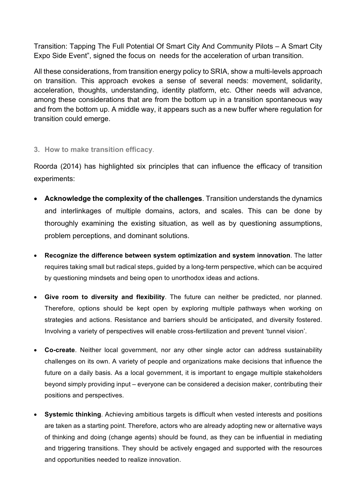Transition: Tapping The Full Potential Of Smart City And Community Pilots – A Smart City Expo Side Event", signed the focus on needs for the acceleration of urban transition.

All these considerations, from transition energy policy to SRIA, show a multi-levels approach on transition. This approach evokes a sense of several needs: movement, solidarity, acceleration, thoughts, understanding, identity platform, etc. Other needs will advance, among these considerations that are from the bottom up in a transition spontaneous way and from the bottom up. A middle way, it appears such as a new buffer where regulation for transition could emerge.

## **3. How to make transition efficacy**.

Roorda (2014) has highlighted six principles that can influence the efficacy of transition experiments:

- **Acknowledge the complexity of the challenges**. Transition understands the dynamics and interlinkages of multiple domains, actors, and scales. This can be done by thoroughly examining the existing situation, as well as by questioning assumptions, problem perceptions, and dominant solutions.
- **Recognize the difference between system optimization and system innovation**. The latter requires taking small but radical steps, guided by a long-term perspective, which can be acquired by questioning mindsets and being open to unorthodox ideas and actions.
- **Give room to diversity and flexibility**. The future can neither be predicted, nor planned. Therefore, options should be kept open by exploring multiple pathways when working on strategies and actions. Resistance and barriers should be anticipated, and diversity fostered. Involving a variety of perspectives will enable cross-fertilization and prevent 'tunnel vision'.
- **Co-create**. Neither local government, nor any other single actor can address sustainability challenges on its own. A variety of people and organizations make decisions that influence the future on a daily basis. As a local government, it is important to engage multiple stakeholders beyond simply providing input – everyone can be considered a decision maker, contributing their positions and perspectives.
- **Systemic thinking**. Achieving ambitious targets is difficult when vested interests and positions are taken as a starting point. Therefore, actors who are already adopting new or alternative ways of thinking and doing (change agents) should be found, as they can be influential in mediating and triggering transitions. They should be actively engaged and supported with the resources and opportunities needed to realize innovation.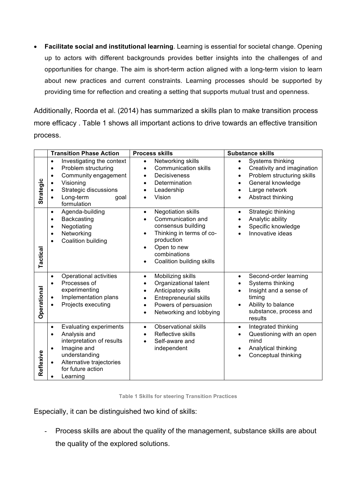• **Facilitate social and institutional learning**. Learning is essential for societal change. Opening up to actors with different backgrounds provides better insights into the challenges of and opportunities for change. The aim is short-term action aligned with a long-term vision to learn about new practices and current constraints. Learning processes should be supported by providing time for reflection and creating a setting that supports mutual trust and openness.

Additionally, Roorda et al. (2014) has summarized a skills plan to make transition process more efficacy . Table 1 shows all important actions to drive towards an effective transition process.

|                  | <b>Transition Phase Action</b>                                                                                                                                                                                 | <b>Process skills</b>                                                                                                                                                                                             | <b>Substance skills</b>                                                                                                                                                        |
|------------------|----------------------------------------------------------------------------------------------------------------------------------------------------------------------------------------------------------------|-------------------------------------------------------------------------------------------------------------------------------------------------------------------------------------------------------------------|--------------------------------------------------------------------------------------------------------------------------------------------------------------------------------|
| <b>Strategic</b> | Investigating the context<br>$\bullet$<br>Problem structuring<br>$\bullet$<br>Community engagement<br>$\bullet$<br>Visioning<br>Strategic discussions<br>Long-term<br>goal<br>formulation                      | Networking skills<br>$\bullet$<br><b>Communication skills</b><br>Decisiveness<br>$\bullet$<br>Determination<br>Leadership<br>Vision<br>$\bullet$                                                                  | Systems thinking<br>$\bullet$<br>Creativity and imagination<br>$\bullet$<br>Problem structuring skills<br>$\bullet$<br>General knowledge<br>Large network<br>Abstract thinking |
| Tactical         | Agenda-building<br>$\bullet$<br>Backcasting<br>$\bullet$<br>Negotiating<br>$\bullet$<br>Networking<br>$\bullet$<br>Coalition building<br>$\bullet$                                                             | <b>Negotiation skills</b><br>$\bullet$<br>Communication and<br>$\bullet$<br>consensus building<br>Thinking in terms of co-<br>$\bullet$<br>production<br>Open to new<br>combinations<br>Coalition building skills | Strategic thinking<br>$\bullet$<br>Analytic ability<br>$\bullet$<br>Specific knowledge<br>Innovative ideas                                                                     |
| Operational      | Operational activities<br>$\bullet$<br>Processes of<br>$\bullet$<br>experimenting<br>Implementation plans<br>Projects executing                                                                                | Mobilizing skills<br>$\bullet$<br>Organizational talent<br>Anticipatory skills<br>$\bullet$<br><b>Entrepreneurial skills</b><br>Powers of persuasion<br>$\bullet$<br>Networking and lobbying<br>$\bullet$         | Second-order learning<br>$\bullet$<br>Systems thinking<br>$\bullet$<br>Insight and a sense of<br>timing<br>Ability to balance<br>substance, process and<br>results             |
| Reflexive        | <b>Evaluating experiments</b><br>$\bullet$<br>Analysis and<br>$\bullet$<br>interpretation of results<br>Imagine and<br>$\bullet$<br>understanding<br>Alternative trajectories<br>for future action<br>Learning | <b>Observational skills</b><br>$\bullet$<br>Reflective skills<br>$\bullet$<br>Self-aware and<br>independent                                                                                                       | Integrated thinking<br>$\bullet$<br>Questioning with an open<br>$\bullet$<br>mind<br>Analytical thinking<br>$\bullet$<br>Conceptual thinking                                   |

**Table 1 Skills for steering Transition Practices**

Especially, it can be distinguished two kind of skills:

- Process skills are about the quality of the management, substance skills are about the quality of the explored solutions.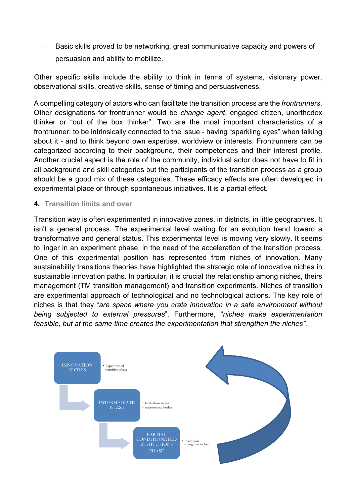Basic skills proved to be networking, great communicative capacity and powers of persuasion and ability to mobilize.

Other specific skills include the ability to think in terms of systems, visionary power, observational skills, creative skills, sense of timing and persuasiveness.

A compelling category of actors who can facilitate the transition process are the *frontrunners*. Other designations for frontrunner would be *change agent*, engaged citizen, unorthodox thinker or "out of the box thinker". Two are the most important characteristics of a frontrunner: to be intrinsically connected to the issue - having "sparkling eyes" when talking about it - and to think beyond own expertise, worldview or interests. Frontrunners can be categorized according to their background, their competences and their interest profile. Another crucial aspect is the role of the community, individual actor does not have to fit in all background and skill categories but the participants of the transition process as a group should be a good mix of these categories. These efficacy effects are often developed in experimental place or through spontaneous initiatives. It is a partial effect.

## **4. Transition limits and over**

Transition way is often experimented in innovative zones, in districts, in little geographies. It isn't a general process. The experimental level waiting for an evolution trend toward a transformative and general status. This experimental level is moving very slowly. It seems to linger in an experiment phase, in the need of the acceleration of the transition process. One of this experimental position has represented from niches of innovation. Many sustainability transitions theories have highlighted the strategic role of innovative niches in sustainable innovation paths. In particular, it is crucial the relationship among niches, theirs management (TM transition management) and transition experiments. Niches of transition are experimental approach of technological and no technological actions. The key role of niches is that they "*are space where you crate innovation in a safe environment without being subjected to external pressures*". Furthermore, "*niches make experimentation feasible, but at the same time creates the experimentation that strengthen the niches".*

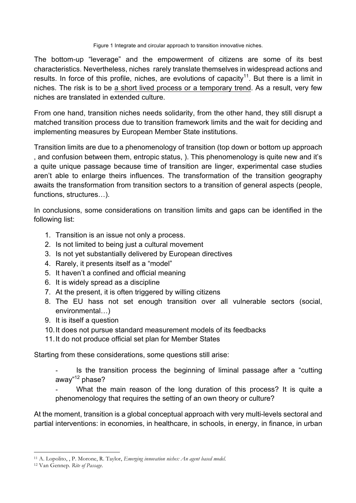Figure 1 Integrate and circular approach to transition innovative niches.

The bottom-up "leverage" and the empowerment of citizens are some of its best characteristics. Nevertheless, niches rarely translate themselves in widespread actions and results. In force of this profile, niches, are evolutions of capacity<sup>11</sup>. But there is a limit in niches. The risk is to be a short lived process or a temporary trend. As a result, very few niches are translated in extended culture.

From one hand, transition niches needs solidarity, from the other hand, they still disrupt a matched transition process due to transition framework limits and the wait for deciding and implementing measures by European Member State institutions.

Transition limits are due to a phenomenology of transition (top down or bottom up approach , and confusion between them, entropic status, ). This phenomenology is quite new and it's a quite unique passage because time of transition are linger, experimental case studies aren't able to enlarge theirs influences. The transformation of the transition geography awaits the transformation from transition sectors to a transition of general aspects (people, functions, structures…).

In conclusions, some considerations on transition limits and gaps can be identified in the following list:

- 1. Transition is an issue not only a process.
- 2. Is not limited to being just a cultural movement
- 3. Is not yet substantially delivered by European directives
- 4. Rarely, it presents itself as a "model"
- 5. It haven't a confined and official meaning
- 6. It is widely spread as a discipline
- 7. At the present, it is often triggered by willing citizens
- 8. The EU hass not set enough transition over all vulnerable sectors (social, environmental…)
- 9. It is itself a question
- 10.It does not pursue standard measurement models of its feedbacks
- 11.It do not produce official set plan for Member States

Starting from these considerations, some questions still arise:

Is the transition process the beginning of liminal passage after a "cutting" away"12 phase?

What the main reason of the long duration of this process? It is quite a phenomenology that requires the setting of an own theory or culture?

At the moment, transition is a global conceptual approach with very multi-levels sectoral and partial interventions: in economies, in healthcare, in schools, in energy, in finance, in urban

 <sup>11</sup> A. Lopolito, , P. Morone, R. Taylor, *Emerging innovation niches: An agent based model.*

<sup>12</sup> Van Gennep. *Rite of Passage*.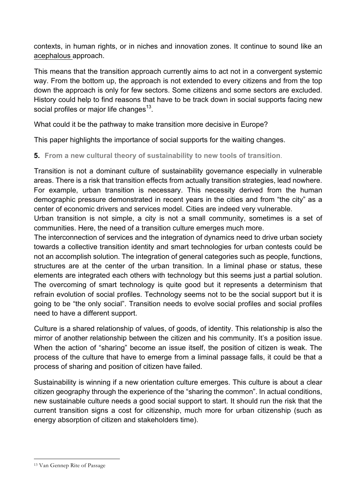contexts, in human rights, or in niches and innovation zones. It continue to sound like an acephalous approach.

This means that the transition approach currently aims to act not in a convergent systemic way. From the bottom up, the approach is not extended to every citizens and from the top down the approach is only for few sectors. Some citizens and some sectors are excluded. History could help to find reasons that have to be track down in social supports facing new social profiles or major life changes<sup>13</sup>.

What could it be the pathway to make transition more decisive in Europe?

This paper highlights the importance of social supports for the waiting changes.

**5. From a new cultural theory of sustainability to new tools of transition**.

Transition is not a dominant culture of sustainability governance especially in vulnerable areas. There is a risk that transition effects from actually transition strategies, lead nowhere. For example, urban transition is necessary. This necessity derived from the human demographic pressure demonstrated in recent years in the cities and from "the city" as a center of economic drivers and services model. Cities are indeed very vulnerable.

Urban transition is not simple, a city is not a small community, sometimes is a set of communities. Here, the need of a transition culture emerges much more.

The interconnection of services and the integration of dynamics need to drive urban society towards a collective transition identity and smart technologies for urban contests could be not an accomplish solution. The integration of general categories such as people, functions, structures are at the center of the urban transition. In a liminal phase or status, these elements are integrated each others with technology but this seems just a partial solution. The overcoming of smart technology is quite good but it represents a determinism that refrain evolution of social profiles. Technology seems not to be the social support but it is going to be "the only social". Transition needs to evolve social profiles and social profiles need to have a different support.

Culture is a shared relationship of values, of goods, of identity. This relationship is also the mirror of another relationship between the citizen and his community. It's a position issue. When the action of "sharing" become an issue itself, the position of citizen is weak. The process of the culture that have to emerge from a liminal passage falls, it could be that a process of sharing and position of citizen have failed.

Sustainability is winning if a new orientation culture emerges. This culture is about a clear citizen geography through the experience of the "sharing the common". In actual conditions, new sustainable culture needs a good social support to start. It should run the risk that the current transition signs a cost for citizenship, much more for urban citizenship (such as energy absorption of citizen and stakeholders time).

 <sup>13</sup> Van Gennep Rite of Passage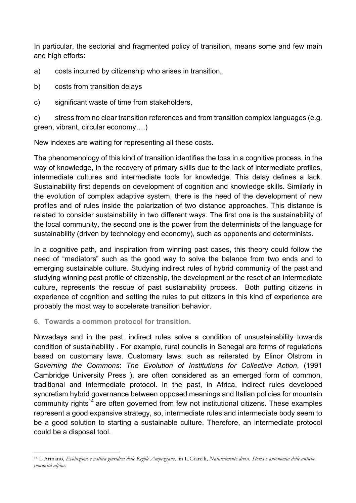In particular, the sectorial and fragmented policy of transition, means some and few main and high efforts:

- a) costs incurred by citizenship who arises in transition,
- b) costs from transition delays
- c) significant waste of time from stakeholders,

c) stress from no clear transition references and from transition complex languages (e.g. green, vibrant, circular economy….)

New indexes are waiting for representing all these costs.

The phenomenology of this kind of transition identifies the loss in a cognitive process, in the way of knowledge, in the recovery of primary skills due to the lack of intermediate profiles, intermediate cultures and intermediate tools for knowledge. This delay defines a lack. Sustainability first depends on development of cognition and knowledge skills. Similarly in the evolution of complex adaptive system, there is the need of the development of new profiles and of rules inside the polarization of two distance approaches. This distance is related to consider sustainability in two different ways. The first one is the sustainability of the local community, the second one is the power from the determinists of the language for sustainability (driven by technology end economy), such as opponents and determinists.

In a cognitive path, and inspiration from winning past cases, this theory could follow the need of "mediators" such as the good way to solve the balance from two ends and to emerging sustainable culture. Studying indirect rules of hybrid community of the past and studying winning past profile of citizenship, the development or the reset of an intermediate culture, represents the rescue of past sustainability process. Both putting citizens in experience of cognition and setting the rules to put citizens in this kind of experience are probably the most way to accelerate transition behavior.

**6. Towards a common protocol for transition.**

Nowadays and in the past, indirect rules solve a condition of unsustainability towards condition of sustainability . For example, rural councils in Senegal are forms of regulations based on customary laws. Customary laws, such as reiterated by Elinor Olstrom in *Governing the Commons*: *The Evolution of Institutions for Collective Action*, (1991 Cambridge University Press ), are often considered as an emerged form of common, traditional and intermediate protocol. In the past, in Africa, indirect rules developed syncretism hybrid governance between opposed meanings and Italian policies for mountain community rights<sup>14</sup> are often governed from few not institutional citizens. These examples represent a good expansive strategy, so, intermediate rules and intermediate body seem to be a good solution to starting a sustainable culture. Therefore, an intermediate protocol could be a disposal tool.

 <sup>14</sup> L.Armano, *Evoluzione e natura giuridica delle Regole Ampezzane*, in L.Giarelli, *Naturalmente divisi. Storia e autonomia delle antiche comunità alpine.*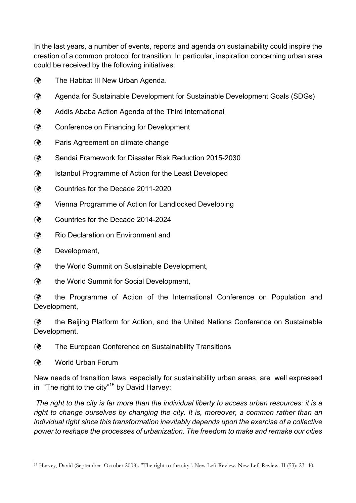In the last years, a number of events, reports and agenda on sustainability could inspire the creation of a common protocol for transition. In particular, inspiration concerning urban area could be received by the following initiatives:

- $\mathcal{F}$  The Habitat III New Urban Agenda.
- ü Agenda for Sustainable Development for Sustainable Development Goals (SDGs)
- $\mathcal{F}$  Addis Ababa Action Agenda of the Third International
- ü Conference on Financing for Development
- **(?)** Paris Agreement on climate change
- ü Sendai Framework for Disaster Risk Reduction 2015-2030
- **(?)** Istanbul Programme of Action for the Least Developed
- ü Countries for the Decade 2011-2020
- ü Vienna Programme of Action for Landlocked Developing
- ü Countries for the Decade 2014-2024
- **(?)** Rio Declaration on Environment and
- **(?)** Development,
- $\mathcal{P}$  the World Summit on Sustainable Development,
- **(?)** the World Summit for Social Development,

**(?)** the Programme of Action of the International Conference on Population and Development,

 $\mathcal{F}$  the Beijing Platform for Action, and the United Nations Conference on Sustainable Development.

**(?)** The European Conference on Sustainability Transitions

ü World Urban Forum

New needs of transition laws, especially for sustainability urban areas, are well expressed in "The right to the city"<sup>15</sup> by David Harvey:

*The right to the city is far more than the individual liberty to access urban resources: it is a right to change ourselves by changing the city. It is, moreover, a common rather than an individual right since this transformation inevitably depends upon the exercise of a collective power to reshape the processes of urbanization. The freedom to make and remake our cities*

 <sup>15</sup> Harvey, David (September–October 2008). "The right to the city". New Left Review. New Left Review. II (53): 23–40.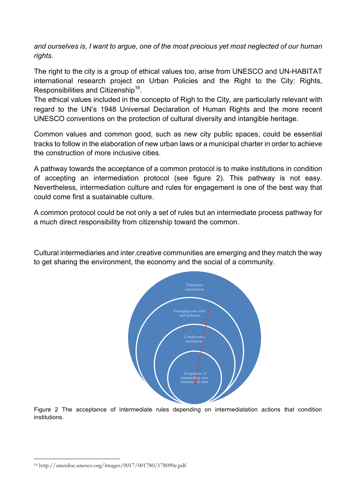*and ourselves is, I want to argue, one of the most precious yet most neglected of our human rights*.

The right to the city is a group of ethical values too, arise from UNESCO and UN-HABITAT international research project on Urban Policies and the Right to the City: Rights, Responsibilities and Citizenship<sup>16</sup>.

The ethical values included in the concepto of Righ to the City, are particularly relevant with regard to the UN's 1948 Universal Declaration of Human Rights and the more recent UNESCO conventions on the protection of cultural diversity and intangible heritage.

Common values and common good, such as new city public spaces, could be essential tracks to follow in the elaboration of new urban laws or a municipal charter in order to achieve the construction of more inclusive cities.

A pathway towards the acceptance of a common protocol is to make institutions in condition of accepting an intermediation protocol (see figure 2). This pathway is not easy. Nevertheless, intermediation culture and rules for engagement is one of the best way that could come first a sustainable culture.

A common protocol could be not only a set of rules but an intermediate process pathway for a much direct responsibility from citizenship toward the common.

Cultural intermediaries and inter.creative communities are emerging and they match the way to get sharing the environment, the economy and the social of a community.



Figure 2 The acceptance of intermediate rules depending on intermediatation actions that condition institutions.

 <sup>16</sup> http://unesdoc.unesco.org/images/0017/001780/178090e.pdf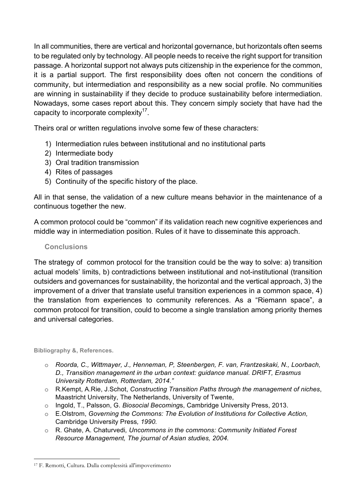In all communities, there are vertical and horizontal governance, but horizontals often seems to be regulated only by technology. All people needs to receive the right support for transition passage. A horizontal support not always puts citizenship in the experience for the common, it is a partial support. The first responsibility does often not concern the conditions of community, but intermediation and responsibility as a new social profile. No communities are winning in sustainability if they decide to produce sustainability before intermediation. Nowadays, some cases report about this. They concern simply society that have had the capacity to incorporate complexity<sup>1</sup>.

Theirs oral or written regulations involve some few of these characters:

- 1) Intermediation rules between institutional and no institutional parts
- 2) Intermediate body
- 3) Oral tradition transmission
- 4) Rites of passages
- 5) Continuity of the specific history of the place.

All in that sense, the validation of a new culture means behavior in the maintenance of a continuous together the new.

A common protocol could be "common" if its validation reach new cognitive experiences and middle way in intermediation position. Rules of it have to disseminate this approach.

## **Conclusions**

The strategy of common protocol for the transition could be the way to solve: a) transition actual models' limits, b) contradictions between institutional and not-institutional (transition outsiders and governances for sustainability, the horizontal and the vertical approach, 3) the improvement of a driver that translate useful transition experiences in a common space, 4) the translation from experiences to community references. As a "Riemann space", a common protocol for transition, could to become a single translation among priority themes and universal categories.

**Bibliography &, References.**

- o *Roorda, C., Wittmayer, J., Henneman, P, Steenbergen, F. van, Frantzeskaki, N., Loorbach, D., Transition management in the urban context: guidance manual. DRIFT, Erasmus University Rotterdam, Rotterdam, 2014."*
- o R.Kempt, A.Rie, J.Schot, *Constructing Transition Paths through the management of niches*, Maastricht University, The Netherlands, University of Twente,
- o Ingold, T., Palsson, G. *Biosocial Becoming*s, Cambridge University Press, 2013.
- o E.Olstrom, *Governing the Commons: The Evolution of Institutions for Collective Action,*  Cambridge University Press*, 1990.*
- o R. Ghate, A. Chaturvedi*, Uncommons in the commons: Community Initiated Forest Resource Management, The journal of Asian studies, 2004.*

 <sup>17</sup> F. Remotti, Cultura. Dalla complessità all'impoverimento